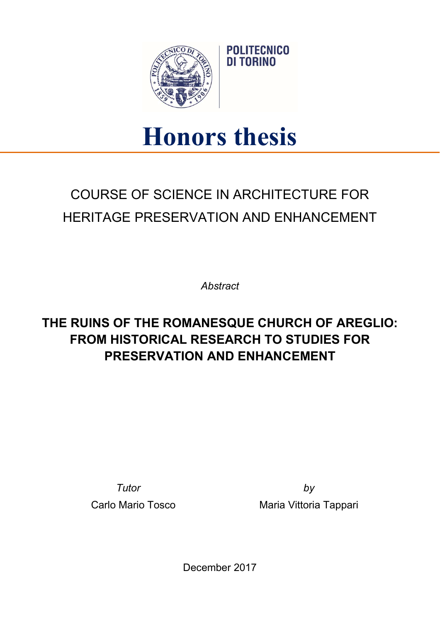

## Honors thesis

**POLITECNICO** DI TORINO

## COURSE OF SCIENCE IN ARCHITECTURE FOR HERITAGE PRESERVATION AND ENHANCEMENT

**Abstract** 

## THE RUINS OF THE ROMANESQUE CHURCH OF AREGLIO: FROM HISTORICAL RESEARCH TO STUDIES FOR PRESERVATION AND ENHANCEMENT

Tutor by

Carlo Mario Tosco **Maria Vittoria Tappari** 

December 2017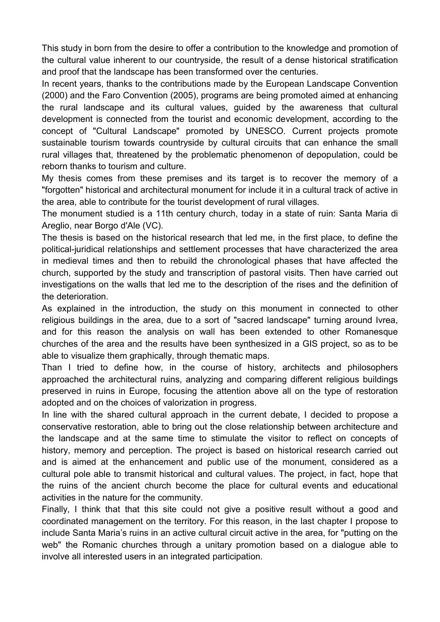This study in born from the desire to offer a contribution to the knowledge and promotion of the cultural value inherent to our countryside, the result of a dense historical stratification and proof that the landscape has been transformed over the centuries.

In recent years, thanks to the contributions made by the European Landscape Convention (2000) and the Faro Convention (2005), programs are being promoted aimed at enhancing the rural landscape and its cultural values, guided by the awareness that cultural development is connected from the tourist and economic development, according to the concept of "Cultural Landscape" promoted by UNESCO. Current projects promote sustainable tourism towards countryside by cultural circuits that can enhance the small rural villages that, threatened by the problematic phenomenon of depopulation, could be reborn thanks to tourism and culture.

My thesis comes from these premises and its target is to recover the memory of a "forgotten" historical and architectural monument for include it in a cultural track of active in the area, able to contribute for the tourist development of rural villages.

The monument studied is a 11th century church, today in a state of ruin: Santa Maria di Areglio, near Borgo d'Ale (VC).

The thesis is based on the historical research that led me, in the first place, to define the political-juridical relationships and settlement processes that have characterized the area in medieval times and then to rebuild the chronological phases that have affected the church, supported by the study and transcription of pastoral visits. Then have carried out investigations on the walls that led me to the description of the rises and the definition of the deterioration.

As explained in the introduction, the study on this monument in connected to other religious buildings in the area, due to a sort of "sacred landscape" turning around Ivrea, and for this reason the analysis on wall has been extended to other Romanesque churches of the area and the results have been synthesized in a GIS project, so as to be able to visualize them graphically, through thematic maps.

Than I tried to define how, in the course of history, architects and philosophers approached the architectural ruins, analyzing and comparing different religious buildings preserved in ruins in Europe, focusing the attention above all on the type of restoration adopted and on the choices of valorization in progress.

In line with the shared cultural approach in the current debate, I decided to propose a conservative restoration, able to bring out the close relationship between architecture and the landscape and at the same time to stimulate the visitor to reflect on concepts of history, memory and perception. The project is based on historical research carried out and is aimed at the enhancement and public use of the monument, considered as a cultural pole able to transmit historical and cultural values. The project, in fact, hope that the ruins of the ancient church become the place for cultural events and educational activities in the nature for the community.

Finally, I think that that this site could not give a positive result without a good and coordinated management on the territory. For this reason, in the last chapter I propose to include Santa Maria's ruins in an active cultural circuit active in the area, for "putting on the web" the Romanic churches through a unitary promotion based on a dialogue able to involve all interested users in an integrated participation.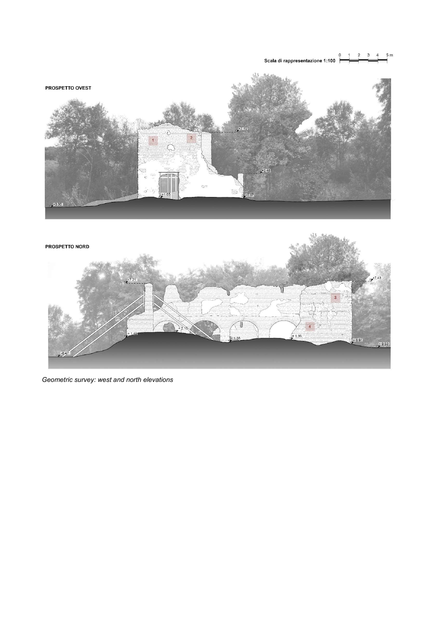$5m$  $3 \quad 4$  $\overline{2}$  $\overline{0}$ Scala di rappresentazione 1:100





Geometric survey: west and north elevations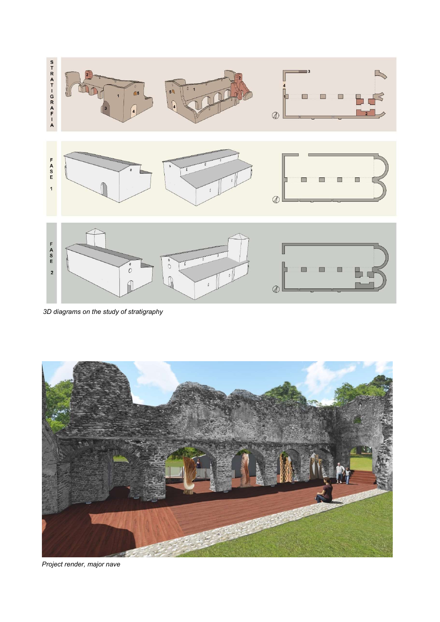

3D diagrams on the study of stratigraphy



Project render, major nave